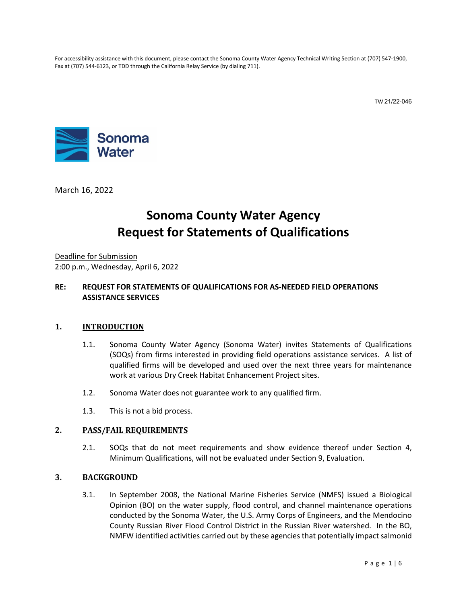For accessibility assistance with this document, please contact the Sonoma County Water Agency Technical Writing Section at (707) 547-1900, Fax at (707) 544-6123, or TDD through the California Relay Service (by dialing 711).

TW 21/22-046



March 16, 2022

# **Sonoma County Water Agency Request for Statements of Qualifications**

Deadline for Submission 2:00 p.m., Wednesday, April 6, 2022

#### **RE: REQUEST FOR STATEMENTS OF QUALIFICATIONS FOR AS-NEEDED FIELD OPERATIONS ASSISTANCE SERVICES**

#### **1. INTRODUCTION**

- 1.1. Sonoma County Water Agency (Sonoma Water) invites Statements of Qualifications (SOQs) from firms interested in providing field operations assistance services. A list of qualified firms will be developed and used over the next three years for maintenance work at various Dry Creek Habitat Enhancement Project sites.
- 1.2. Sonoma Water does not guarantee work to any qualified firm.
- 1.3. This is not a bid process.

#### **2. PASS/FAIL REQUIREMENTS**

2.1. SOQs that do not meet requirements and show evidence thereof under Section [4,](#page-1-0) Minimum Qualifications, will not be evaluated under Section [9,](#page-4-0) Evaluation.

#### **3. BACKGROUND**

3.1. In September 2008, the National Marine Fisheries Service (NMFS) issued a Biological Opinion (BO) on the water supply, flood control, and channel maintenance operations conducted by the Sonoma Water, the U.S. Army Corps of Engineers, and the Mendocino County Russian River Flood Control District in the Russian River watershed. In the BO, NMFW identified activities carried out by these agencies that potentially impact salmonid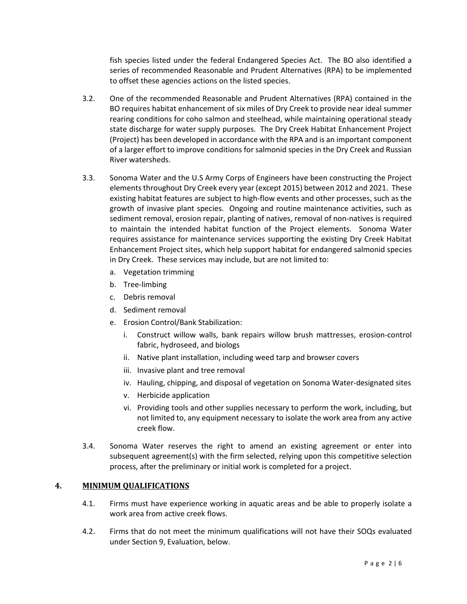fish species listed under the federal Endangered Species Act. The BO also identified a series of recommended Reasonable and Prudent Alternatives (RPA) to be implemented to offset these agencies actions on the listed species.

- 3.2. One of the recommended Reasonable and Prudent Alternatives (RPA) contained in the BO requires habitat enhancement of six miles of Dry Creek to provide near ideal summer rearing conditions for coho salmon and steelhead, while maintaining operational steady state discharge for water supply purposes. The Dry Creek Habitat Enhancement Project (Project) has been developed in accordance with the RPA and is an important component of a larger effort to improve conditions for salmonid species in the Dry Creek and Russian River watersheds.
- 3.3. Sonoma Water and the U.S Army Corps of Engineers have been constructing the Project elements throughout Dry Creek every year (except 2015) between 2012 and 2021. These existing habitat features are subject to high-flow events and other processes, such as the growth of invasive plant species. Ongoing and routine maintenance activities, such as sediment removal, erosion repair, planting of natives, removal of non-natives is required to maintain the intended habitat function of the Project elements. Sonoma Water requires assistance for maintenance services supporting the existing Dry Creek Habitat Enhancement Project sites, which help support habitat for endangered salmonid species in Dry Creek. These services may include, but are not limited to:
	- a. Vegetation trimming
	- b. Tree-limbing
	- c. Debris removal
	- d. Sediment removal
	- e. Erosion Control/Bank Stabilization:
		- i. Construct willow walls, bank repairs willow brush mattresses, erosion-control fabric, hydroseed, and biologs
		- ii. Native plant installation, including weed tarp and browser covers
		- iii. Invasive plant and tree removal
		- iv. Hauling, chipping, and disposal of vegetation on Sonoma Water-designated sites
		- v. Herbicide application
		- vi. Providing tools and other supplies necessary to perform the work, including, but not limited to, any equipment necessary to isolate the work area from any active creek flow.
- 3.4. Sonoma Water reserves the right to amend an existing agreement or enter into subsequent agreement(s) with the firm selected, relying upon this competitive selection process, after the preliminary or initial work is completed for a project.

#### <span id="page-1-0"></span>**4. MINIMUM QUALIFICATIONS**

- 4.1. Firms must have experience working in aquatic areas and be able to properly isolate a work area from active creek flows.
- 4.2. Firms that do not meet the minimum qualifications will not have their SOQs evaluated under Sectio[n 9,](#page-4-0) Evaluation, below.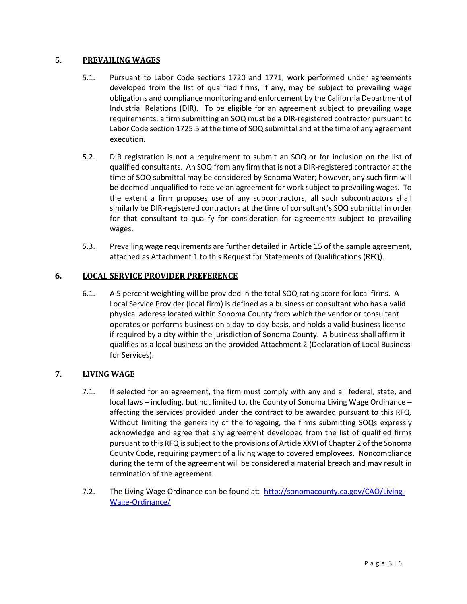#### <span id="page-2-0"></span>**5. PREVAILING WAGES**

- 5.1. Pursuant to Labor Code sections 1720 and 1771, work performed under agreements developed from the list of qualified firms, if any, may be subject to prevailing wage obligations and compliance monitoring and enforcement by the California Department of Industrial Relations (DIR). To be eligible for an agreement subject to prevailing wage requirements, a firm submitting an SOQ must be a DIR-registered contractor pursuant to Labor Code section 1725.5 at the time of SOQ submittal and at the time of any agreement execution.
- 5.2. DIR registration is not a requirement to submit an SOQ or for inclusion on the list of qualified consultants. An SOQ from any firm that is not a DIR-registered contractor at the time of SOQ submittal may be considered by Sonoma Water; however, any such firm will be deemed unqualified to receive an agreement for work subject to prevailing wages. To the extent a firm proposes use of any subcontractors, all such subcontractors shall similarly be DIR-registered contractors at the time of consultant's SOQ submittal in order for that consultant to qualify for consideration for agreements subject to prevailing wages.
- 5.3. Prevailing wage requirements are further detailed in Article 15 of the sample agreement, attached as Attachment 1 to this Request for Statements of Qualifications (RFQ).

#### **6. LOCAL SERVICE PROVIDER PREFERENCE**

6.1. A 5 percent weighting will be provided in the total SOQ rating score for local firms. A Local Service Provider (local firm) is defined as a business or consultant who has a valid physical address located within Sonoma County from which the vendor or consultant operates or performs business on a day-to-day-basis, and holds a valid business license if required by a city within the jurisdiction of Sonoma County. A business shall affirm it qualifies as a local business on the provided Attachment 2 (Declaration of Local Business for Services).

#### **7. LIVING WAGE**

- 7.1. If selected for an agreement, the firm must comply with any and all federal, state, and local laws – including, but not limited to, the County of Sonoma Living Wage Ordinance – affecting the services provided under the contract to be awarded pursuant to this RFQ. Without limiting the generality of the foregoing, the firms submitting SOQs expressly acknowledge and agree that any agreement developed from the list of qualified firms pursuant to this RFQ is subject to the provisions of Article XXVI of Chapter 2 of the Sonoma County Code, requiring payment of a living wage to covered employees. Noncompliance during the term of the agreement will be considered a material breach and may result in termination of the agreement.
- 7.2. The Living Wage Ordinance can be found at: [http://sonomacounty.ca.gov/CAO/Living-](http://sonomacounty.ca.gov/CAO/Living-Wage-Ordinance/)[Wage-Ordinance/](http://sonomacounty.ca.gov/CAO/Living-Wage-Ordinance/)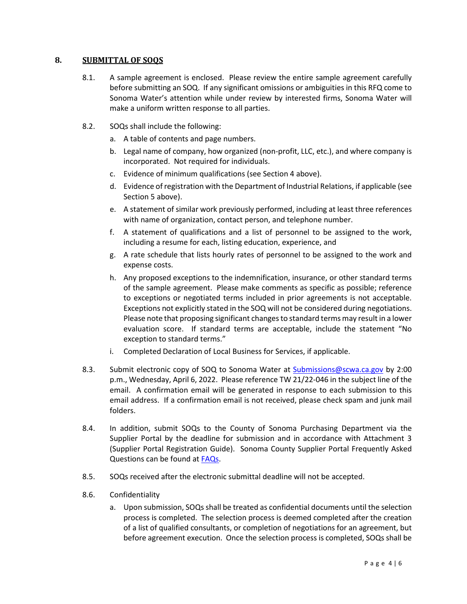#### **8. SUBMITTAL OF SOQS**

- 8.1. A sample agreement is enclosed. Please review the entire sample agreement carefully before submitting an SOQ. If any significant omissions or ambiguities in this RFQ come to Sonoma Water's attention while under review by interested firms, Sonoma Water will make a uniform written response to all parties.
- <span id="page-3-3"></span><span id="page-3-2"></span><span id="page-3-1"></span><span id="page-3-0"></span>8.2. SOQs shall include the following:
	- a. A table of contents and page numbers.
	- b. Legal name of company, how organized (non-profit, LLC, etc.), and where company is incorporated. Not required for individuals.
	- c. Evidence of minimum qualifications (see Sectio[n 4](#page-1-0) above).
	- d. Evidence of registration with the Department of Industrial Relations, if applicable (see Sectio[n 5](#page-2-0) above).
	- e. A statement of similar work previously performed, including at least three references with name of organization, contact person, and telephone number.
	- f. A statement of qualifications and a list of personnel to be assigned to the work, including a resume for each, listing education, experience, and
	- g. A rate schedule that lists hourly rates of personnel to be assigned to the work and expense costs.
	- h. Any proposed exceptions to the indemnification, insurance, or other standard terms of the sample agreement. Please make comments as specific as possible; reference to exceptions or negotiated terms included in prior agreements is not acceptable. Exceptions not explicitly stated in the SOQ will not be considered during negotiations. Please note that proposing significant changes to standard terms may result in a lower evaluation score. If standard terms are acceptable, include the statement "No exception to standard terms."
	- i. Completed Declaration of Local Business for Services, if applicable.
- <span id="page-3-6"></span><span id="page-3-5"></span><span id="page-3-4"></span>8.3. Submit electronic copy of SOQ to Sonoma Water at [Submissions@scwa.ca.gov](mailto:Submissions@scwa.ca.gov) by 2:00 p.m., Wednesday, April 6, 2022. Please reference TW 21/22-046 in the subject line of the email. A confirmation email will be generated in response to each submission to this email address. If a confirmation email is not received, please check spam and junk mail folders.
- 8.4. In addition, submit SOQs to the County of Sonoma Purchasing Department via the Supplier Portal by the deadline for submission and in accordance with Attachment 3 (Supplier Portal Registration Guide). Sonoma County Supplier Portal Frequently Asked Questions can be found at [FAQs.](https://sonomacounty.ca.gov/General-Services/Purchasing/Doing-Business-with-the-County/Frequently-Asked-Questions/)
- 8.5. SOQs received after the electronic submittal deadline will not be accepted.
- 8.6. Confidentiality
	- a. Upon submission, SOQs shall be treated as confidential documents until the selection process is completed. The selection process is deemed completed after the creation of a list of qualified consultants, or completion of negotiations for an agreement, but before agreement execution. Once the selection process is completed, SOQs shall be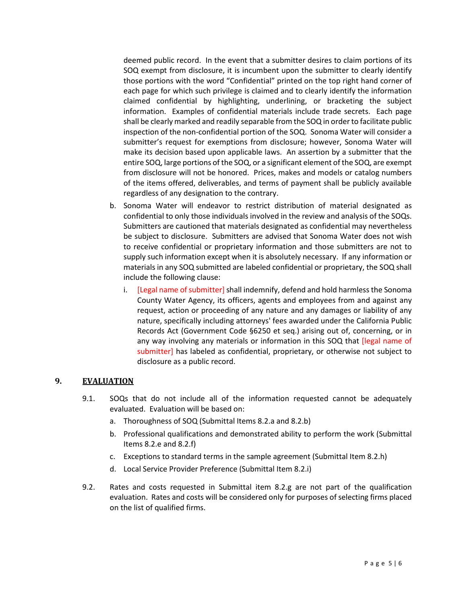deemed public record. In the event that a submitter desires to claim portions of its SOQ exempt from disclosure, it is incumbent upon the submitter to clearly identify those portions with the word "Confidential" printed on the top right hand corner of each page for which such privilege is claimed and to clearly identify the information claimed confidential by highlighting, underlining, or bracketing the subject information. Examples of confidential materials include trade secrets. Each page shall be clearly marked and readily separable from the SOQ in order to facilitate public inspection of the non-confidential portion of the SOQ. Sonoma Water will consider a submitter's request for exemptions from disclosure; however, Sonoma Water will make its decision based upon applicable laws. An assertion by a submitter that the entire SOQ, large portions of the SOQ, or a significant element of the SOQ, are exempt from disclosure will not be honored. Prices, makes and models or catalog numbers of the items offered, deliverables, and terms of payment shall be publicly available regardless of any designation to the contrary.

- b. Sonoma Water will endeavor to restrict distribution of material designated as confidential to only those individuals involved in the review and analysis of the SOQs. Submitters are cautioned that materials designated as confidential may nevertheless be subject to disclosure. Submitters are advised that Sonoma Water does not wish to receive confidential or proprietary information and those submitters are not to supply such information except when it is absolutely necessary. If any information or materials in any SOQ submitted are labeled confidential or proprietary, the SOQ shall include the following clause:
	- i. [Legal name of submitter] shall indemnify, defend and hold harmless the Sonoma County Water Agency, its officers, agents and employees from and against any request, action or proceeding of any nature and any damages or liability of any nature, specifically including attorneys' fees awarded under the California Public Records Act (Government Code §6250 et seq.) arising out of, concerning, or in any way involving any materials or information in this SOQ that [legal name of submitter] has labeled as confidential, proprietary, or otherwise not subject to disclosure as a public record.

#### <span id="page-4-0"></span>**9. EVALUATION**

- 9.1. SOQs that do not include all of the information requested cannot be adequately evaluated. Evaluation will be based on:
	- a. Thoroughness of SOQ (Submittal Items [8.2.a](#page-3-0) an[d 8.2.b\)](#page-3-1)
	- b. Professional qualifications and demonstrated ability to perform the work (Submittal Item[s 8.2.e](#page-3-2) an[d 8.2.f\)](#page-3-3)
	- c. Exceptions to standard terms in the sample agreement (Submittal Ite[m 8.2.h\)](#page-3-4)
	- d. Local Service Provider Preference (Submittal Item [8.2.i\)](#page-3-5)
- 9.2. Rates and costs requested in Submittal item [8.2.g](#page-3-6) are not part of the qualification evaluation. Rates and costs will be considered only for purposes of selecting firms placed on the list of qualified firms.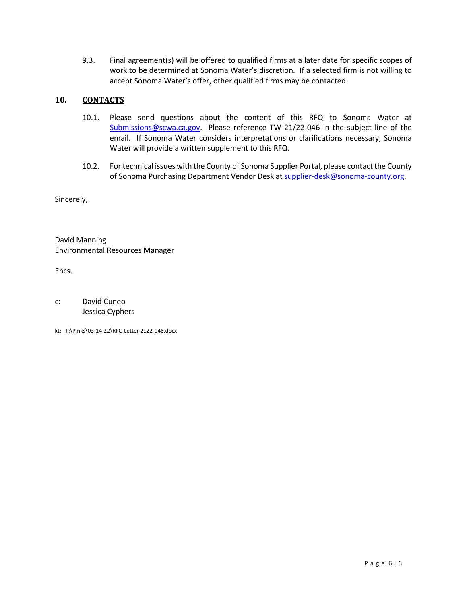9.3. Final agreement(s) will be offered to qualified firms at a later date for specific scopes of work to be determined at Sonoma Water's discretion. If a selected firm is not willing to accept Sonoma Water's offer, other qualified firms may be contacted.

#### **10. CONTACTS**

- 10.1. Please send questions about the content of this RFQ to Sonoma Water at [Submissions@scwa.ca.gov.](mailto:Submissions@scwa.ca.gov) Please reference TW 21/22-046 in the subject line of the email. If Sonoma Water considers interpretations or clarifications necessary, Sonoma Water will provide a written supplement to this RFQ.
- 10.2. For technical issues with the County of Sonoma Supplier Portal, please contact the County of Sonoma Purchasing Department Vendor Desk at [supplier-desk@sonoma-county.org.](mailto:supplier-desk@sonoma-county.org)

Sincerely,

David Manning Environmental Resources Manager

Encs.

c: David Cuneo Jessica Cyphers

kt: T:\Pinks\03-14-22\RFQ Letter 2122-046.docx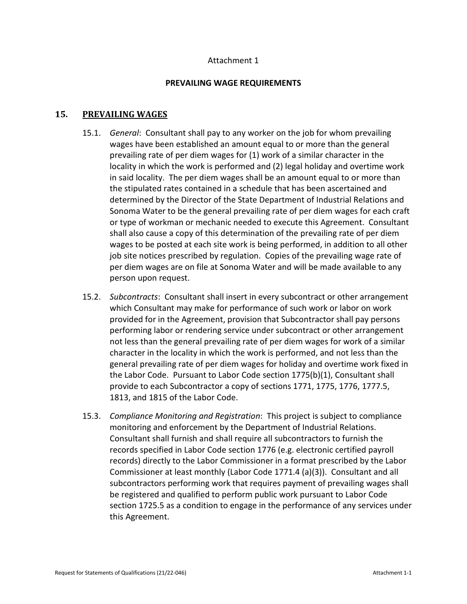#### Attachment 1

#### **PREVAILING WAGE REQUIREMENTS**

#### **15. PREVAILING WAGES**

- 15.1. *General*: Consultant shall pay to any worker on the job for whom prevailing wages have been established an amount equal to or more than the general prevailing rate of per diem wages for (1) work of a similar character in the locality in which the work is performed and (2) legal holiday and overtime work in said locality. The per diem wages shall be an amount equal to or more than the stipulated rates contained in a schedule that has been ascertained and determined by the Director of the State Department of Industrial Relations and Sonoma Water to be the general prevailing rate of per diem wages for each craft or type of workman or mechanic needed to execute this Agreement. Consultant shall also cause a copy of this determination of the prevailing rate of per diem wages to be posted at each site work is being performed, in addition to all other job site notices prescribed by regulation. Copies of the prevailing wage rate of per diem wages are on file at Sonoma Water and will be made available to any person upon request.
- 15.2. *Subcontracts*: Consultant shall insert in every subcontract or other arrangement which Consultant may make for performance of such work or labor on work provided for in the Agreement, provision that Subcontractor shall pay persons performing labor or rendering service under subcontract or other arrangement not less than the general prevailing rate of per diem wages for work of a similar character in the locality in which the work is performed, and not less than the general prevailing rate of per diem wages for holiday and overtime work fixed in the Labor Code. Pursuant to Labor Code section 1775(b)(1), Consultant shall provide to each Subcontractor a copy of sections 1771, 1775, 1776, 1777.5, 1813, and 1815 of the Labor Code.
- 15.3. *Compliance Monitoring and Registration*: This project is subject to compliance monitoring and enforcement by the Department of Industrial Relations. Consultant shall furnish and shall require all subcontractors to furnish the records specified in Labor Code section 1776 (e.g. electronic certified payroll records) directly to the Labor Commissioner in a format prescribed by the Labor Commissioner at least monthly (Labor Code 1771.4 (a)(3)). Consultant and all subcontractors performing work that requires payment of prevailing wages shall be registered and qualified to perform public work pursuant to Labor Code section 1725.5 as a condition to engage in the performance of any services under this Agreement.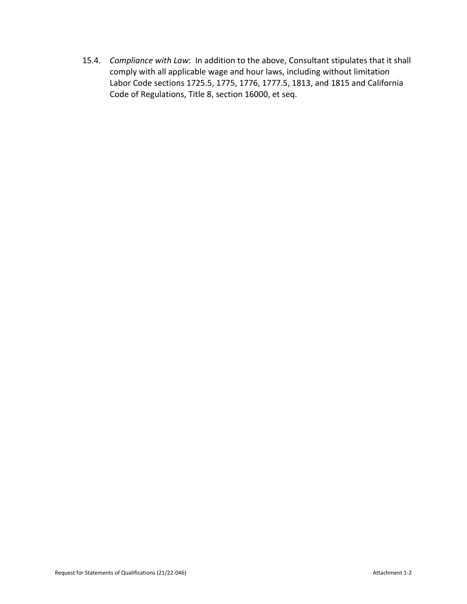15.4. *Compliance with Law*: In addition to the above, Consultant stipulates that it shall comply with all applicable wage and hour laws, including without limitation Labor Code sections 1725.5, 1775, 1776, 1777.5, 1813, and 1815 and California Code of Regulations, Title 8, section 16000, et seq.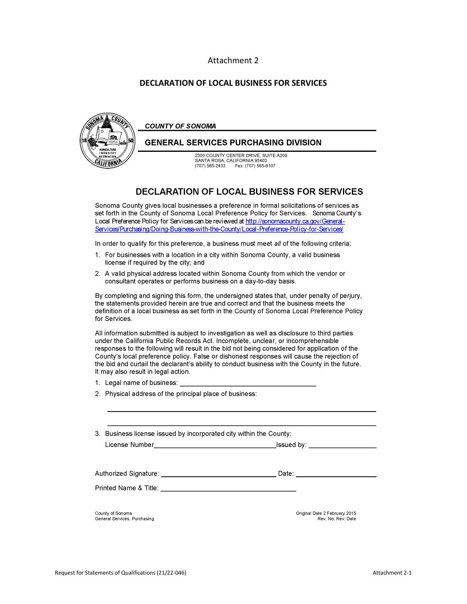#### Attachment 2

#### **DECLARATION OF LOCAL BUSINESS FOR SERVICES**



#### **DECLARATION OF LOCAL BUSINESS FOR SERVICES**

Sonoma County gives local businesses a preference in formal solicitations of services as set forth in the County of Sonoma Local Preference Policy for Services. Sonoma County's Local Preference Policy for Services can be reviewed at http://sonomacounty.ca.gov/General-Services/Purchasing/Doing-Business-with-the-County/Local-Preference-Policy-for-Services/

In order to qualify for this preference, a business must meet all of the following criteria:

- 1. For businesses with a location in a city within Sonoma County, a valid business license if required by the city; and
- 2. A valid physical address located within Sonoma County from which the vendor or consultant operates or performs business on a day-to-day basis.

By completing and signing this form, the undersigned states that, under penalty of perjury, the statements provided herein are true and correct and that the business meets the definition of a local business as set forth in the County of Sonoma Local Preference Policy for Services.

All information submitted is subject to investigation as well as disclosure to third parties under the California Public Records Act. Incomplete, unclear, or incomprehensible responses to the following will result in the bid not being considered for application of the County's local preference policy. False or dishonest responses will cause the rejection of the bid and curtail the declarant's ability to conduct business with the County in the future. It may also result in legal action.

- 1. Legal name of business:
- 2. Physical address of the principal place of business:

License Number

 $I$ ssued by:  $\overline{\phantom{a} \phantom{a}}$ 

Printed Name & Title: \_\_\_\_\_

County of Sonoma General Services, Purchasing Original Date 2 February 2015 Rev. No. Rev. Date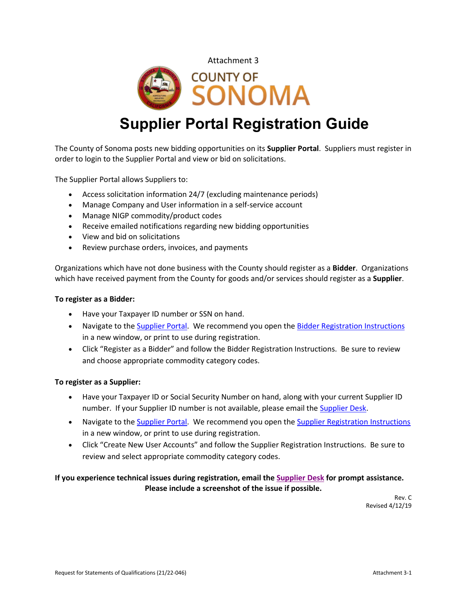



# **Supplier Portal Registration Guide**

The County of Sonoma posts new bidding opportunities on its **Supplier Portal**. Suppliers must register in order to login to the Supplier Portal and view or bid on solicitations.

The Supplier Portal allows Suppliers to:

- Access solicitation information 24/7 (excluding maintenance periods)
- Manage Company and User information in a self-service account
- Manage NIGP commodity/product codes
- Receive emailed notifications regarding new bidding opportunities
- View and bid on solicitations
- Review purchase orders, invoices, and payments

Organizations which have not done business with the County should register as a **Bidder**. Organizations which have received payment from the County for goods and/or services should register as a **Supplier**.

#### **To register as a Bidder:**

- Have your Taxpayer ID number or SSN on hand.
- Navigate to the [Supplier Portal.](https://esupplier.sonomacounty.ca.gov/) We recommend you open the [Bidder Registration](https://esupplier.sonomacounty.ca.gov/SonomaPortalDocs/Training/BidderRegistrationInstructionsADA.pdf) [Instructions](https://esupplier.sonomacounty.ca.gov/SonomaPortalDocs/Training/BidderRegistrationInstructionsADA.pdf) in a new window, or print to use during registration.
- Click "Register as a Bidder" and follow the Bidder Registration Instructions. Be sure to review and choose appropriate commodity category codes.

#### **To register as a Supplier:**

- Have your Taxpayer ID or Social Security Number on hand, along with your current Supplier ID number. If your Supplier ID number is not available, please email the [Supplier Desk.](mailto:supplier-desk@sonoma-county.org)
- Navigate to the [Supplier Portal.](https://esupplier.sonomacounty.ca.gov/) We recommend you open the [Supplier Registration](https://esupplier.sonomacounty.ca.gov/SonomaPortalDocs/Training/SupplierRegistrationInstructionsADA.pdf) [Instructions](https://esupplier.sonomacounty.ca.gov/SonomaPortalDocs/Training/SupplierRegistrationInstructionsADA.pdf) in a new window, or print to use during registration.
- Click "Create New User Accounts" and follow the Supplier Registration Instructions. Be sure to review and select appropriate commodity category codes.

#### **If you experience technical issues during registration, email th[e Supplier Desk](mailto:supplier-desk@sonoma-county.org) for prompt assistance. Please include a screenshot of the issue if possible.**

Rev. C Revised 4/12/19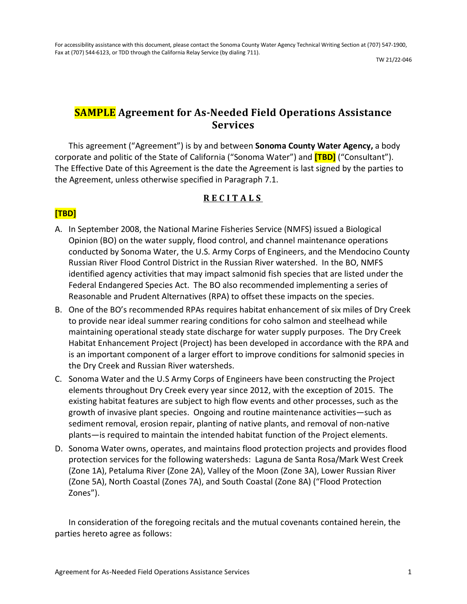TW 21/22-046

# **SAMPLE Agreement for As-Needed Field Operations Assistance Services**

This agreement ("Agreement") is by and between **Sonoma County Water Agency,** a body corporate and politic of the State of California ("Sonoma Water") and **[TBD]** ("Consultant"). The Effective Date of this Agreement is the date the Agreement is last signed by the parties to the Agreement, unless otherwise specified in Paragraph [7.1.](#page-14-0)

# **RECITALS**

# **[TBD]**

- <span id="page-10-0"></span>A. In September 2008, the National Marine Fisheries Service (NMFS) issued a Biological Opinion (BO) on the water supply, flood control, and channel maintenance operations conducted by Sonoma Water, the U.S. Army Corps of Engineers, and the Mendocino County Russian River Flood Control District in the Russian River watershed. In the BO, NMFS identified agency activities that may impact salmonid fish species that are listed under the Federal Endangered Species Act. The BO also recommended implementing a series of Reasonable and Prudent Alternatives (RPA) to offset these impacts on the species.
- B. One of the BO's recommended RPAs requires habitat enhancement of six miles of Dry Creek to provide near ideal summer rearing conditions for coho salmon and steelhead while maintaining operational steady state discharge for water supply purposes. The Dry Creek Habitat Enhancement Project (Project) has been developed in accordance with the RPA and is an important component of a larger effort to improve conditions for salmonid species in the Dry Creek and Russian River watersheds.
- C. Sonoma Water and the U.S Army Corps of Engineers have been constructing the Project elements throughout Dry Creek every year since 2012, with the exception of 2015. The existing habitat features are subject to high flow events and other processes, such as the growth of invasive plant species. Ongoing and routine maintenance activities—such as sediment removal, erosion repair, planting of native plants, and removal of non-native plants—is required to maintain the intended habitat function of the Project elements.
- D. Sonoma Water owns, operates, and maintains flood protection projects and provides flood protection services for the following watersheds: Laguna de Santa Rosa/Mark West Creek (Zone 1A), Petaluma River (Zone 2A), Valley of the Moon (Zone 3A), Lower Russian River (Zone 5A), North Coastal (Zones 7A), and South Coastal (Zone 8A) ("Flood Protection Zones").

In consideration of the foregoing recitals and the mutual covenants contained herein, the parties hereto agree as follows: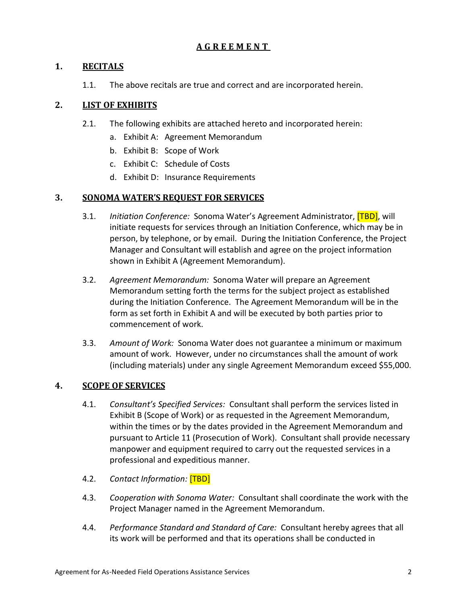# **AGREEMENT**

# **1. RECITALS**

1.1. The above recitals are true and correct and are incorporated herein.

# **2. LIST OF EXHIBITS**

- 2.1. The following exhibits are attached hereto and incorporated herein:
	- a. Exhibit A: Agreement Memorandum
	- b. Exhibit B: Scope of Work
	- c. Exhibit C: Schedule of Costs
	- d. Exhibit D: Insurance Requirements

# **3. SONOMA WATER'S REQUEST FOR SERVICES**

- 3.1. *Initiation Conference:* Sonoma Water's Agreement Administrator, [TBD], will initiate requests for services through an Initiation Conference, which may be in person, by telephone, or by email. During the Initiation Conference, the Project Manager and Consultant will establish and agree on the project information shown in Exhibit A (Agreement Memorandum).
- 3.2. *Agreement Memorandum:* Sonoma Water will prepare an Agreement Memorandum setting forth the terms for the subject project as established during the Initiation Conference. The Agreement Memorandum will be in the form as set forth in Exhibit A and will be executed by both parties prior to commencement of work.
- 3.3. *Amount of Work:* Sonoma Water does not guarantee a minimum or maximum amount of work. However, under no circumstances shall the amount of work (including materials) under any single Agreement Memorandum exceed \$55,000.

# **4. SCOPE OF SERVICES**

- 4.1. *Consultant's Specified Services:* Consultant shall perform the services listed in Exhibit B (Scope of Work) or as requested in the Agreement Memorandum, within the times or by the dates provided in the Agreement Memorandum and pursuant to Article [11](#page-16-0) [\(Prosecution of Work\)](#page-16-0). Consultant shall provide necessary manpower and equipment required to carry out the requested services in a professional and expeditious manner.
- <span id="page-11-0"></span>4.2. *Contact Information:* [TBD]
- 4.3. *Cooperation with Sonoma Water:* Consultant shall coordinate the work with the Project Manager named in the Agreement Memorandum.
- 4.4. *Performance Standard and Standard of Care:* Consultant hereby agrees that all its work will be performed and that its operations shall be conducted in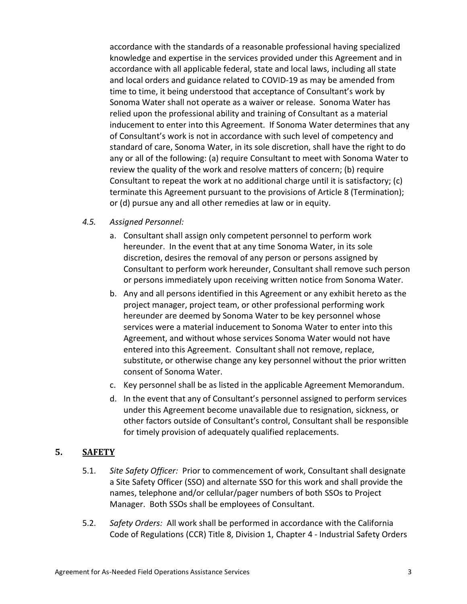accordance with the standards of a reasonable professional having specialized knowledge and expertise in the services provided under this Agreement and in accordance with all applicable federal, state and local laws, including all state and local orders and guidance related to COVID-19 as may be amended from time to time, it being understood that acceptance of Consultant's work by Sonoma Water shall not operate as a waiver or release. Sonoma Water has relied upon the professional ability and training of Consultant as a material inducement to enter into this Agreement. If Sonoma Water determines that any of Consultant's work is not in accordance with such level of competency and standard of care, Sonoma Water, in its sole discretion, shall have the right to do any or all of the following: (a) require Consultant to meet with Sonoma Water to review the quality of the work and resolve matters of concern; (b) require Consultant to repeat the work at no additional charge until it is satisfactory; (c) terminate this Agreement pursuant to the provisions of Article [8](#page-14-1) [\(Termination\)](#page-14-1); or (d) pursue any and all other remedies at law or in equity.

- *4.5. Assigned Personnel:*
	- a. Consultant shall assign only competent personnel to perform work hereunder. In the event that at any time Sonoma Water, in its sole discretion, desires the removal of any person or persons assigned by Consultant to perform work hereunder, Consultant shall remove such person or persons immediately upon receiving written notice from Sonoma Water.
	- b. Any and all persons identified in this Agreement or any exhibit hereto as the project manager, project team, or other professional performing work hereunder are deemed by Sonoma Water to be key personnel whose services were a material inducement to Sonoma Water to enter into this Agreement, and without whose services Sonoma Water would not have entered into this Agreement. Consultant shall not remove, replace, substitute, or otherwise change any key personnel without the prior written consent of Sonoma Water.
	- c. Key personnel shall be as listed in the applicable Agreement Memorandum.
	- d. In the event that any of Consultant's personnel assigned to perform services under this Agreement become unavailable due to resignation, sickness, or other factors outside of Consultant's control, Consultant shall be responsible for timely provision of adequately qualified replacements.

# **5. SAFETY**

- 5.1. *Site Safety Officer:* Prior to commencement of work, Consultant shall designate a Site Safety Officer (SSO) and alternate SSO for this work and shall provide the names, telephone and/or cellular/pager numbers of both SSOs to Project Manager. Both SSOs shall be employees of Consultant.
- 5.2. *Safety Orders:* All work shall be performed in accordance with the California Code of Regulations (CCR) Title 8, Division 1, Chapter 4 - Industrial Safety Orders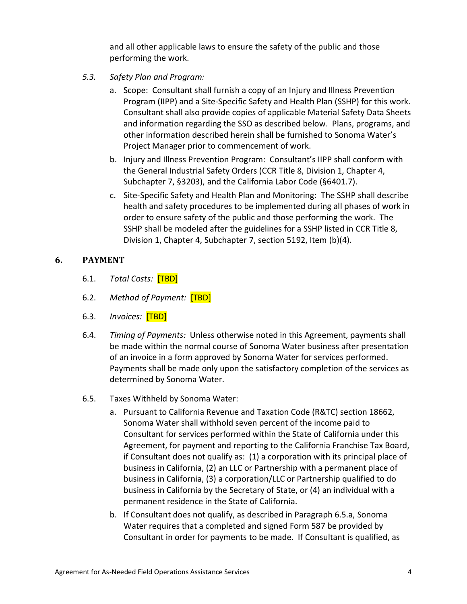and all other applicable laws to ensure the safety of the public and those performing the work.

- *5.3. Safety Plan and Program:*
	- a. Scope: Consultant shall furnish a copy of an Injury and Illness Prevention Program (IIPP) and a Site-Specific Safety and Health Plan (SSHP) for this work. Consultant shall also provide copies of applicable Material Safety Data Sheets and information regarding the SSO as described below. Plans, programs, and other information described herein shall be furnished to Sonoma Water's Project Manager prior to commencement of work.
	- b. Injury and Illness Prevention Program: Consultant's IIPP shall conform with the General Industrial Safety Orders (CCR Title 8, Division 1, Chapter 4, Subchapter 7, §3203), and the California Labor Code (§6401.7).
	- c. Site-Specific Safety and Health Plan and Monitoring: The SSHP shall describe health and safety procedures to be implemented during all phases of work in order to ensure safety of the public and those performing the work. The SSHP shall be modeled after the guidelines for a SSHP listed in CCR Title 8, Division 1, Chapter 4, Subchapter 7, section 5192, Item (b)(4).

# <span id="page-13-1"></span>**6. PAYMENT**

- 6.1. *Total Costs:* [TBD]
- 6.2. *Method of Payment:* [TBD]
- <span id="page-13-2"></span>6.3. *Invoices:* [TBD]
- 6.4. *Timing of Payments:* Unless otherwise noted in this Agreement, payments shall be made within the normal course of Sonoma Water business after presentation of an invoice in a form approved by Sonoma Water for services performed. Payments shall be made only upon the satisfactory completion of the services as determined by Sonoma Water.
- <span id="page-13-0"></span>6.5. Taxes Withheld by Sonoma Water:
	- a. Pursuant to California Revenue and Taxation Code (R&TC) section 18662, Sonoma Water shall withhold seven percent of the income paid to Consultant for services performed within the State of California under this Agreement, for payment and reporting to the California Franchise Tax Board, if Consultant does not qualify as: (1) a corporation with its principal place of business in California, (2) an LLC or Partnership with a permanent place of business in California, (3) a corporation/LLC or Partnership qualified to do business in California by the Secretary of State, or (4) an individual with a permanent residence in the State of California.
	- b. If Consultant does not qualify, as described in Paragraph [6.5.a,](#page-13-0) Sonoma Water requires that a completed and signed Form 587 be provided by Consultant in order for payments to be made. If Consultant is qualified, as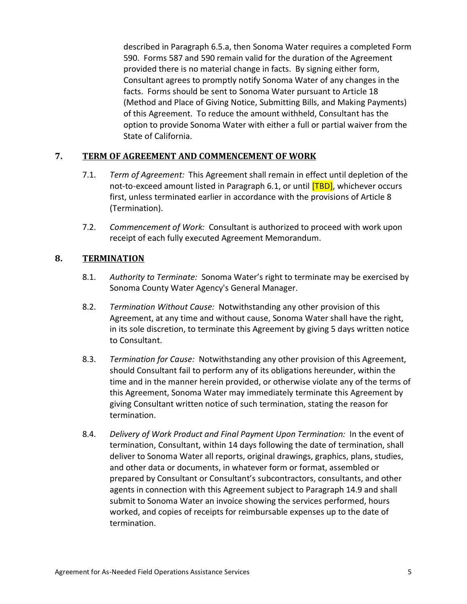described in Paragraph [6.5.a,](#page-13-0) then Sonoma Water requires a completed Form 590. Forms 587 and 590 remain valid for the duration of the Agreement provided there is no material change in facts. By signing either form, Consultant agrees to promptly notify Sonoma Water of any changes in the facts. Forms should be sent to Sonoma Water pursuant to Articl[e 18](#page-22-0) [\(Method and Place of Giving Notice, Submitting Bills, and Making Payments\)](#page-22-0) of this Agreement. To reduce the amount withheld, Consultant has the option to provide Sonoma Water with either a full or partial waiver from the State of California.

# <span id="page-14-0"></span>**7. TERM OF AGREEMENT AND COMMENCEMENT OF WORK**

- 7.1. *Term of Agreement:* This Agreement shall remain in effect until depletion of the not-to-exceed amount listed in Paragraph [6.1,](#page-13-1) or until **[TBD]**, whichever occurs first, unless terminated earlier in accordance with the provisions of Article [8](#page-14-1) [\(Termination\)](#page-14-1).
- 7.2. *Commencement of Work:* Consultant is authorized to proceed with work upon receipt of each fully executed Agreement Memorandum.

#### <span id="page-14-1"></span>**8. TERMINATION**

- 8.1. *Authority to Terminate:* Sonoma Water's right to terminate may be exercised by Sonoma County Water Agency's General Manager.
- 8.2. *Termination Without Cause:* Notwithstanding any other provision of this Agreement, at any time and without cause, Sonoma Water shall have the right, in its sole discretion, to terminate this Agreement by giving 5 days written notice to Consultant.
- <span id="page-14-2"></span>8.3. *Termination for Cause:* Notwithstanding any other provision of this Agreement, should Consultant fail to perform any of its obligations hereunder, within the time and in the manner herein provided, or otherwise violate any of the terms of this Agreement, Sonoma Water may immediately terminate this Agreement by giving Consultant written notice of such termination, stating the reason for termination.
- 8.4. *Delivery of Work Product and Final Payment Upon Termination:* In the event of termination, Consultant, within 14 days following the date of termination, shall deliver to Sonoma Water all reports, original drawings, graphics, plans, studies, and other data or documents, in whatever form or format, assembled or prepared by Consultant or Consultant's subcontractors, consultants, and other agents in connection with this Agreement subject to Paragraph [14.9](#page-19-0) and shall submit to Sonoma Water an invoice showing the services performed, hours worked, and copies of receipts for reimbursable expenses up to the date of termination.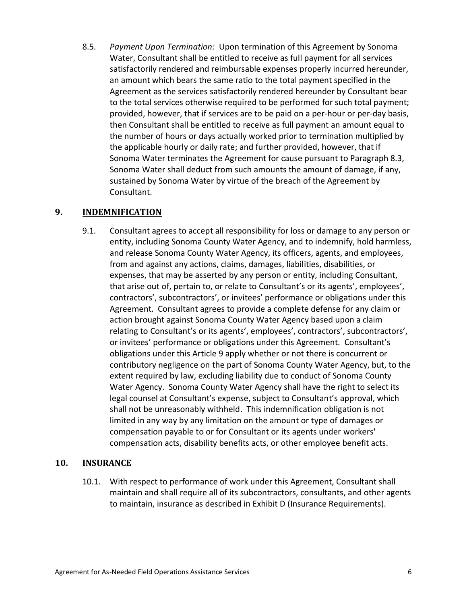8.5. *Payment Upon Termination:* Upon termination of this Agreement by Sonoma Water, Consultant shall be entitled to receive as full payment for all services satisfactorily rendered and reimbursable expenses properly incurred hereunder, an amount which bears the same ratio to the total payment specified in the Agreement as the services satisfactorily rendered hereunder by Consultant bear to the total services otherwise required to be performed for such total payment; provided, however, that if services are to be paid on a per-hour or per-day basis, then Consultant shall be entitled to receive as full payment an amount equal to the number of hours or days actually worked prior to termination multiplied by the applicable hourly or daily rate; and further provided, however, that if Sonoma Water terminates the Agreement for cause pursuant to Paragraph [8.3,](#page-14-2) Sonoma Water shall deduct from such amounts the amount of damage, if any, sustained by Sonoma Water by virtue of the breach of the Agreement by Consultant.

# <span id="page-15-0"></span>**9. INDEMNIFICATION**

9.1. Consultant agrees to accept all responsibility for loss or damage to any person or entity, including Sonoma County Water Agency, and to indemnify, hold harmless, and release Sonoma County Water Agency, its officers, agents, and employees, from and against any actions, claims, damages, liabilities, disabilities, or expenses, that may be asserted by any person or entity, including Consultant, that arise out of, pertain to, or relate to Consultant's or its agents', employees', contractors', subcontractors', or invitees' performance or obligations under this Agreement. Consultant agrees to provide a complete defense for any claim or action brought against Sonoma County Water Agency based upon a claim relating to Consultant's or its agents', employees', contractors', subcontractors', or invitees' performance or obligations under this Agreement. Consultant's obligations under this Article [9](#page-15-0) apply whether or not there is concurrent or contributory negligence on the part of Sonoma County Water Agency, but, to the extent required by law, excluding liability due to conduct of Sonoma County Water Agency. Sonoma County Water Agency shall have the right to select its legal counsel at Consultant's expense, subject to Consultant's approval, which shall not be unreasonably withheld. This indemnification obligation is not limited in any way by any limitation on the amount or type of damages or compensation payable to or for Consultant or its agents under workers' compensation acts, disability benefits acts, or other employee benefit acts.

#### **10. INSURANCE**

10.1. With respect to performance of work under this Agreement, Consultant shall maintain and shall require all of its subcontractors, consultants, and other agents to maintain, insurance as described in Exhibit D (Insurance Requirements).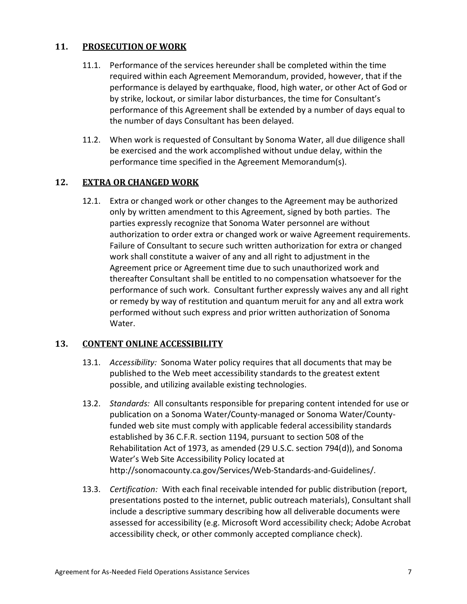# <span id="page-16-0"></span>**11. PROSECUTION OF WORK**

- 11.1. Performance of the services hereunder shall be completed within the time required within each Agreement Memorandum, provided, however, that if the performance is delayed by earthquake, flood, high water, or other Act of God or by strike, lockout, or similar labor disturbances, the time for Consultant's performance of this Agreement shall be extended by a number of days equal to the number of days Consultant has been delayed.
- 11.2. When work is requested of Consultant by Sonoma Water, all due diligence shall be exercised and the work accomplished without undue delay, within the performance time specified in the Agreement Memorandum(s).

# **12. EXTRA OR CHANGED WORK**

12.1. Extra or changed work or other changes to the Agreement may be authorized only by written amendment to this Agreement, signed by both parties. The parties expressly recognize that Sonoma Water personnel are without authorization to order extra or changed work or waive Agreement requirements. Failure of Consultant to secure such written authorization for extra or changed work shall constitute a waiver of any and all right to adjustment in the Agreement price or Agreement time due to such unauthorized work and thereafter Consultant shall be entitled to no compensation whatsoever for the performance of such work. Consultant further expressly waives any and all right or remedy by way of restitution and quantum meruit for any and all extra work performed without such express and prior written authorization of Sonoma Water.

# <span id="page-16-1"></span>**13. CONTENT ONLINE ACCESSIBILITY**

- 13.1. *Accessibility:* Sonoma Water policy requires that all documents that may be published to the Web meet accessibility standards to the greatest extent possible, and utilizing available existing technologies.
- 13.2. *Standards:* All consultants responsible for preparing content intended for use or publication on a Sonoma Water/County-managed or Sonoma Water/Countyfunded web site must comply with applicable federal accessibility standards established by 36 C.F.R. section 1194, pursuant to section 508 of the Rehabilitation Act of 1973, as amended (29 U.S.C. section 794(d)), and Sonoma Water's Web Site Accessibility Policy located at [http://sonomacounty.ca.gov/Services/Web-Standards-and-Guidelines/.](http://sonomacounty.ca.gov/Services/Web-Standards-and-Guidelines/)
- 13.3. *Certification:* With each final receivable intended for public distribution (report, presentations posted to the internet, public outreach materials), Consultant shall include a descriptive summary describing how all deliverable documents were assessed for accessibility (e.g. Microsoft Word accessibility check; Adobe Acrobat accessibility check, or other commonly accepted compliance check).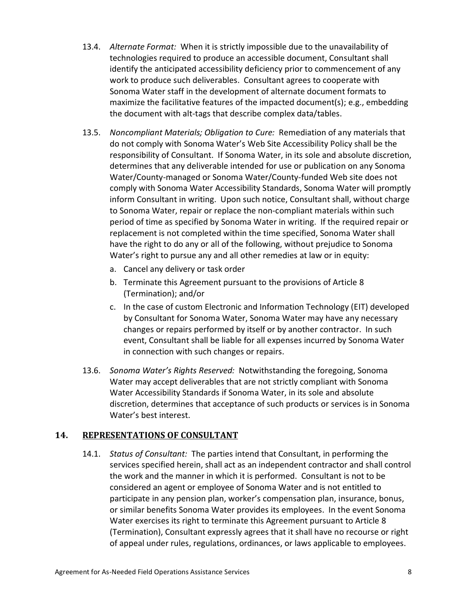- 13.4. *Alternate Format:* When it is strictly impossible due to the unavailability of technologies required to produce an accessible document, Consultant shall identify the anticipated accessibility deficiency prior to commencement of any work to produce such deliverables. Consultant agrees to cooperate with Sonoma Water staff in the development of alternate document formats to maximize the facilitative features of the impacted document(s); e.g., embedding the document with alt-tags that describe complex data/tables.
- 13.5. *Noncompliant Materials; Obligation to Cure:* Remediation of any materials that do not comply with Sonoma Water's Web Site Accessibility Policy shall be the responsibility of Consultant. If Sonoma Water, in its sole and absolute discretion, determines that any deliverable intended for use or publication on any Sonoma Water/County-managed or Sonoma Water/County-funded Web site does not comply with Sonoma Water Accessibility Standards, Sonoma Water will promptly inform Consultant in writing. Upon such notice, Consultant shall, without charge to Sonoma Water, repair or replace the non-compliant materials within such period of time as specified by Sonoma Water in writing. If the required repair or replacement is not completed within the time specified, Sonoma Water shall have the right to do any or all of the following, without prejudice to Sonoma Water's right to pursue any and all other remedies at law or in equity:
	- a. Cancel any delivery or task order
	- b. Terminate this Agreement pursuant to the provisions of Article [8](#page-14-1) [\(Termination\)](#page-14-1); and/or
	- c. In the case of custom Electronic and Information Technology (EIT) developed by Consultant for Sonoma Water, Sonoma Water may have any necessary changes or repairs performed by itself or by another contractor. In such event, Consultant shall be liable for all expenses incurred by Sonoma Water in connection with such changes or repairs.
- 13.6. *Sonoma Water's Rights Reserved:* Notwithstanding the foregoing, Sonoma Water may accept deliverables that are not strictly compliant with Sonoma Water Accessibility Standards if Sonoma Water, in its sole and absolute discretion, determines that acceptance of such products or services is in Sonoma Water's best interest.

#### **14. REPRESENTATIONS OF CONSULTANT**

14.1. *Status of Consultant:* The parties intend that Consultant, in performing the services specified herein, shall act as an independent contractor and shall control the work and the manner in which it is performed. Consultant is not to be considered an agent or employee of Sonoma Water and is not entitled to participate in any pension plan, worker's compensation plan, insurance, bonus, or similar benefits Sonoma Water provides its employees. In the event Sonoma Water exercises its right to terminate this Agreement pursuant to Article [8](#page-14-1) [\(Termination\)](#page-14-1), Consultant expressly agrees that it shall have no recourse or right of appeal under rules, regulations, ordinances, or laws applicable to employees.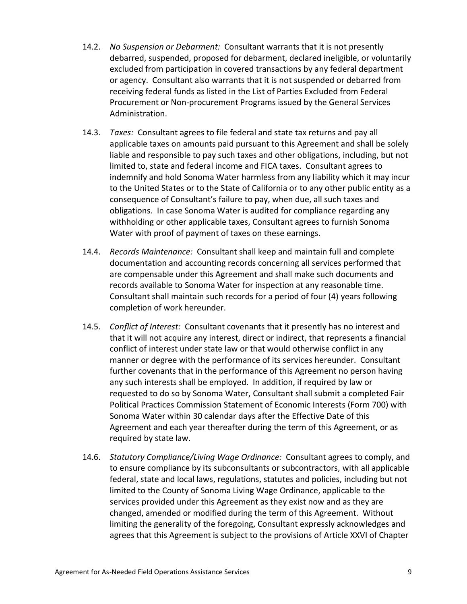- 14.2. *No Suspension or Debarment:* Consultant warrants that it is not presently debarred, suspended, proposed for debarment, declared ineligible, or voluntarily excluded from participation in covered transactions by any federal department or agency. Consultant also warrants that it is not suspended or debarred from receiving federal funds as listed in the List of Parties Excluded from Federal Procurement or Non-procurement Programs issued by the General Services Administration.
- 14.3. *Taxes:* Consultant agrees to file federal and state tax returns and pay all applicable taxes on amounts paid pursuant to this Agreement and shall be solely liable and responsible to pay such taxes and other obligations, including, but not limited to, state and federal income and FICA taxes. Consultant agrees to indemnify and hold Sonoma Water harmless from any liability which it may incur to the United States or to the State of California or to any other public entity as a consequence of Consultant's failure to pay, when due, all such taxes and obligations. In case Sonoma Water is audited for compliance regarding any withholding or other applicable taxes, Consultant agrees to furnish Sonoma Water with proof of payment of taxes on these earnings.
- 14.4. *Records Maintenance:* Consultant shall keep and maintain full and complete documentation and accounting records concerning all services performed that are compensable under this Agreement and shall make such documents and records available to Sonoma Water for inspection at any reasonable time. Consultant shall maintain such records for a period of four (4) years following completion of work hereunder.
- 14.5. *Conflict of Interest:* Consultant covenants that it presently has no interest and that it will not acquire any interest, direct or indirect, that represents a financial conflict of interest under state law or that would otherwise conflict in any manner or degree with the performance of its services hereunder. Consultant further covenants that in the performance of this Agreement no person having any such interests shall be employed. In addition, if required by law or requested to do so by Sonoma Water, Consultant shall submit a completed Fair Political Practices Commission Statement of Economic Interests (Form 700) with Sonoma Water within 30 calendar days after the Effective Date of this Agreement and each year thereafter during the term of this Agreement, or as required by state law.
- 14.6. *Statutory Compliance/Living Wage Ordinance:* Consultant agrees to comply, and to ensure compliance by its subconsultants or subcontractors, with all applicable federal, state and local laws, regulations, statutes and policies, including but not limited to the County of Sonoma Living Wage Ordinance, applicable to the services provided under this Agreement as they exist now and as they are changed, amended or modified during the term of this Agreement. Without limiting the generality of the foregoing, Consultant expressly acknowledges and agrees that this Agreement is subject to the provisions of Article XXVI of Chapter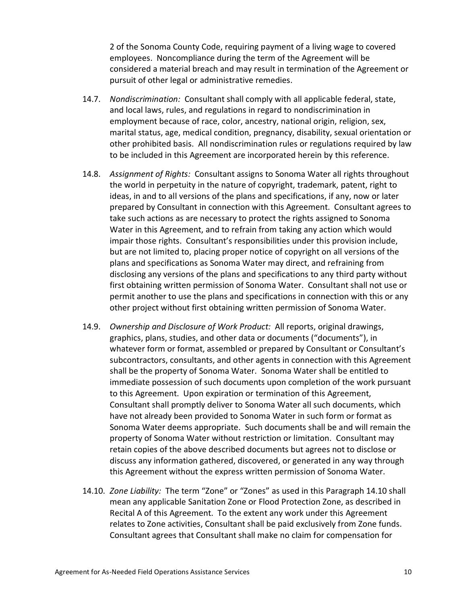2 of the Sonoma County Code, requiring payment of a living wage to covered employees. Noncompliance during the term of the Agreement will be considered a material breach and may result in termination of the Agreement or pursuit of other legal or administrative remedies.

- 14.7. *Nondiscrimination:* Consultant shall comply with all applicable federal, state, and local laws, rules, and regulations in regard to nondiscrimination in employment because of race, color, ancestry, national origin, religion, sex, marital status, age, medical condition, pregnancy, disability, sexual orientation or other prohibited basis. All nondiscrimination rules or regulations required by law to be included in this Agreement are incorporated herein by this reference.
- 14.8. *Assignment of Rights:* Consultant assigns to Sonoma Water all rights throughout the world in perpetuity in the nature of copyright, trademark, patent, right to ideas, in and to all versions of the plans and specifications, if any, now or later prepared by Consultant in connection with this Agreement. Consultant agrees to take such actions as are necessary to protect the rights assigned to Sonoma Water in this Agreement, and to refrain from taking any action which would impair those rights. Consultant's responsibilities under this provision include, but are not limited to, placing proper notice of copyright on all versions of the plans and specifications as Sonoma Water may direct, and refraining from disclosing any versions of the plans and specifications to any third party without first obtaining written permission of Sonoma Water. Consultant shall not use or permit another to use the plans and specifications in connection with this or any other project without first obtaining written permission of Sonoma Water.
- <span id="page-19-0"></span>14.9. *Ownership and Disclosure of Work Product:* All reports, original drawings, graphics, plans, studies, and other data or documents ("documents"), in whatever form or format, assembled or prepared by Consultant or Consultant's subcontractors, consultants, and other agents in connection with this Agreement shall be the property of Sonoma Water. Sonoma Water shall be entitled to immediate possession of such documents upon completion of the work pursuant to this Agreement. Upon expiration or termination of this Agreement, Consultant shall promptly deliver to Sonoma Water all such documents, which have not already been provided to Sonoma Water in such form or format as Sonoma Water deems appropriate. Such documents shall be and will remain the property of Sonoma Water without restriction or limitation. Consultant may retain copies of the above described documents but agrees not to disclose or discuss any information gathered, discovered, or generated in any way through this Agreement without the express written permission of Sonoma Water.
- <span id="page-19-1"></span>14.10. *Zone Liability:* The term "Zone" or "Zones" as used in this Paragraph [14.10](#page-19-1) shall mean any applicable Sanitation Zone or Flood Protection Zone, as described in Recital [A](#page-10-0) of this Agreement. To the extent any work under this Agreement relates to Zone activities, Consultant shall be paid exclusively from Zone funds. Consultant agrees that Consultant shall make no claim for compensation for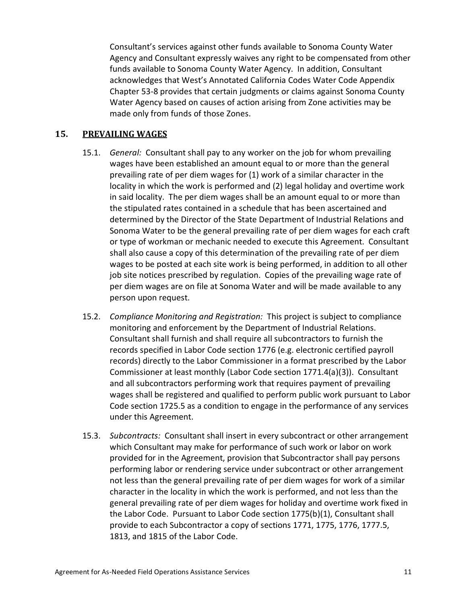Consultant's services against other funds available to Sonoma County Water Agency and Consultant expressly waives any right to be compensated from other funds available to Sonoma County Water Agency. In addition, Consultant acknowledges that West's Annotated California Codes Water Code Appendix Chapter 53-8 provides that certain judgments or claims against Sonoma County Water Agency based on causes of action arising from Zone activities may be made only from funds of those Zones.

#### <span id="page-20-0"></span>**15. PREVAILING WAGES**

- 15.1. *General:* Consultant shall pay to any worker on the job for whom prevailing wages have been established an amount equal to or more than the general prevailing rate of per diem wages for (1) work of a similar character in the locality in which the work is performed and (2) legal holiday and overtime work in said locality. The per diem wages shall be an amount equal to or more than the stipulated rates contained in a schedule that has been ascertained and determined by the Director of the State Department of Industrial Relations and Sonoma Water to be the general prevailing rate of per diem wages for each craft or type of workman or mechanic needed to execute this Agreement. Consultant shall also cause a copy of this determination of the prevailing rate of per diem wages to be posted at each site work is being performed, in addition to all other job site notices prescribed by regulation. Copies of the prevailing wage rate of per diem wages are on file at Sonoma Water and will be made available to any person upon request.
- 15.2. *Compliance Monitoring and Registration:* This project is subject to compliance monitoring and enforcement by the Department of Industrial Relations. Consultant shall furnish and shall require all subcontractors to furnish the records specified in Labor Code section 1776 (e.g. electronic certified payroll records) directly to the Labor Commissioner in a format prescribed by the Labor Commissioner at least monthly (Labor Code section 1771.4(a)(3)). Consultant and all subcontractors performing work that requires payment of prevailing wages shall be registered and qualified to perform public work pursuant to Labor Code section 1725.5 as a condition to engage in the performance of any services under this Agreement.
- 15.3. *Subcontracts:* Consultant shall insert in every subcontract or other arrangement which Consultant may make for performance of such work or labor on work provided for in the Agreement, provision that Subcontractor shall pay persons performing labor or rendering service under subcontract or other arrangement not less than the general prevailing rate of per diem wages for work of a similar character in the locality in which the work is performed, and not less than the general prevailing rate of per diem wages for holiday and overtime work fixed in the Labor Code. Pursuant to Labor Code section 1775(b)(1), Consultant shall provide to each Subcontractor a copy of sections 1771, 1775, 1776, 1777.5, 1813, and 1815 of the Labor Code.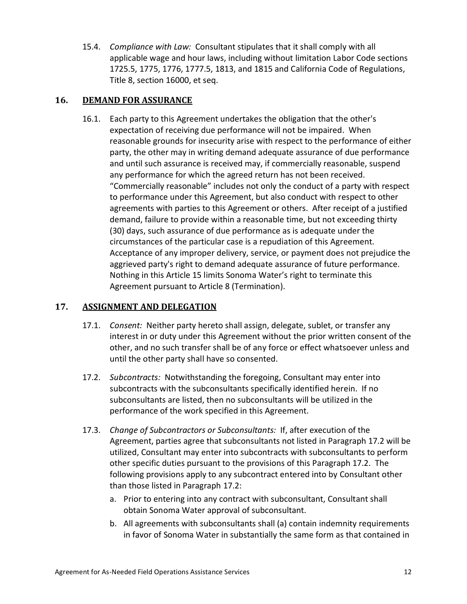15.4. *Compliance with Law:* Consultant stipulates that it shall comply with all applicable wage and hour laws, including without limitation Labor Code sections 1725.5, 1775, 1776, 1777.5, 1813, and 1815 and California Code of Regulations, Title 8, section 16000, et seq.

# **16. DEMAND FOR ASSURANCE**

16.1. Each party to this Agreement undertakes the obligation that the other's expectation of receiving due performance will not be impaired. When reasonable grounds for insecurity arise with respect to the performance of either party, the other may in writing demand adequate assurance of due performance and until such assurance is received may, if commercially reasonable, suspend any performance for which the agreed return has not been received. "Commercially reasonable" includes not only the conduct of a party with respect to performance under this Agreement, but also conduct with respect to other agreements with parties to this Agreement or others. After receipt of a justified demand, failure to provide within a reasonable time, but not exceeding thirty (30) days, such assurance of due performance as is adequate under the circumstances of the particular case is a repudiation of this Agreement. Acceptance of any improper delivery, service, or payment does not prejudice the aggrieved party's right to demand adequate assurance of future performance. Nothing in this Article [15](#page-20-0) limits Sonoma Water's right to terminate this Agreement pursuant to Article [8](#page-14-1) [\(Termination\)](#page-14-1).

# **17. ASSIGNMENT AND DELEGATION**

- 17.1. *Consent:* Neither party hereto shall assign, delegate, sublet, or transfer any interest in or duty under this Agreement without the prior written consent of the other, and no such transfer shall be of any force or effect whatsoever unless and until the other party shall have so consented.
- <span id="page-21-0"></span>17.2. *Subcontracts:* Notwithstanding the foregoing, Consultant may enter into subcontracts with the subconsultants specifically identified herein. If no subconsultants are listed, then no subconsultants will be utilized in the performance of the work specified in this Agreement.
- <span id="page-21-1"></span>17.3. *Change of Subcontractors or Subconsultants:* If, after execution of the Agreement, parties agree that subconsultants not listed in Paragraph [17.2](#page-21-0) will be utilized, Consultant may enter into subcontracts with subconsultants to perform other specific duties pursuant to the provisions of this Paragraph [17.2.](#page-21-1) The following provisions apply to any subcontract entered into by Consultant other than those listed in Paragraph [17.2:](#page-21-0)
	- a. Prior to entering into any contract with subconsultant, Consultant shall obtain Sonoma Water approval of subconsultant.
	- b. All agreements with subconsultants shall (a) contain indemnity requirements in favor of Sonoma Water in substantially the same form as that contained in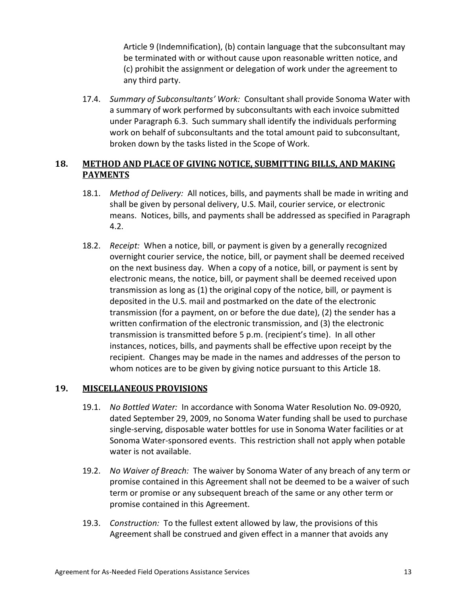Article [9](#page-15-0) [\(Indemnification\)](#page-15-0), (b) contain language that the subconsultant may be terminated with or without cause upon reasonable written notice, and (c) prohibit the assignment or delegation of work under the agreement to any third party.

17.4. *Summary of Subconsultants' Work:* Consultant shall provide Sonoma Water with a summary of work performed by subconsultants with each invoice submitted under Paragraph [6.3.](#page-13-2) Such summary shall identify the individuals performing work on behalf of subconsultants and the total amount paid to subconsultant, broken down by the tasks listed in the Scope of Work.

# <span id="page-22-0"></span>**18. METHOD AND PLACE OF GIVING NOTICE, SUBMITTING BILLS, AND MAKING PAYMENTS**

- 18.1. *Method of Delivery:* All notices, bills, and payments shall be made in writing and shall be given by personal delivery, U.S. Mail, courier service, or electronic means. Notices, bills, and payments shall be addressed as specified in Paragraph [4.2.](#page-11-0)
- 18.2. *Receipt:* When a notice, bill, or payment is given by a generally recognized overnight courier service, the notice, bill, or payment shall be deemed received on the next business day. When a copy of a notice, bill, or payment is sent by electronic means, the notice, bill, or payment shall be deemed received upon transmission as long as (1) the original copy of the notice, bill, or payment is deposited in the U.S. mail and postmarked on the date of the electronic transmission (for a payment, on or before the due date), (2) the sender has a written confirmation of the electronic transmission, and (3) the electronic transmission is transmitted before 5 p.m. (recipient's time). In all other instances, notices, bills, and payments shall be effective upon receipt by the recipient. Changes may be made in the names and addresses of the person to whom notices are to be given by giving notice pursuant to this Article [18.](#page-22-0)

# **19. MISCELLANEOUS PROVISIONS**

- 19.1. *No Bottled Water:* In accordance with Sonoma Water Resolution No. 09-0920, dated September 29, 2009, no Sonoma Water funding shall be used to purchase single-serving, disposable water bottles for use in Sonoma Water facilities or at Sonoma Water-sponsored events. This restriction shall not apply when potable water is not available.
- 19.2. *No Waiver of Breach:* The waiver by Sonoma Water of any breach of any term or promise contained in this Agreement shall not be deemed to be a waiver of such term or promise or any subsequent breach of the same or any other term or promise contained in this Agreement.
- 19.3. *Construction:* To the fullest extent allowed by law, the provisions of this Agreement shall be construed and given effect in a manner that avoids any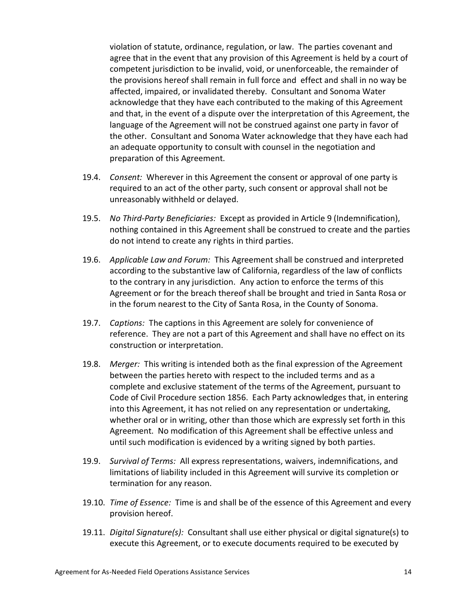violation of statute, ordinance, regulation, or law. The parties covenant and agree that in the event that any provision of this Agreement is held by a court of competent jurisdiction to be invalid, void, or unenforceable, the remainder of the provisions hereof shall remain in full force and effect and shall in no way be affected, impaired, or invalidated thereby. Consultant and Sonoma Water acknowledge that they have each contributed to the making of this Agreement and that, in the event of a dispute over the interpretation of this Agreement, the language of the Agreement will not be construed against one party in favor of the other. Consultant and Sonoma Water acknowledge that they have each had an adequate opportunity to consult with counsel in the negotiation and preparation of this Agreement.

- 19.4. *Consent:* Wherever in this Agreement the consent or approval of one party is required to an act of the other party, such consent or approval shall not be unreasonably withheld or delayed.
- 19.5. *No Third-Party Beneficiaries:* Except as provided in Article [9](#page-15-0) [\(Indemnification\)](#page-15-0), nothing contained in this Agreement shall be construed to create and the parties do not intend to create any rights in third parties.
- 19.6. *Applicable Law and Forum:* This Agreement shall be construed and interpreted according to the substantive law of California, regardless of the law of conflicts to the contrary in any jurisdiction. Any action to enforce the terms of this Agreement or for the breach thereof shall be brought and tried in Santa Rosa or in the forum nearest to the City of Santa Rosa, in the County of Sonoma.
- 19.7. *Captions:* The captions in this Agreement are solely for convenience of reference. They are not a part of this Agreement and shall have no effect on its construction or interpretation.
- 19.8. *Merger:* This writing is intended both as the final expression of the Agreement between the parties hereto with respect to the included terms and as a complete and exclusive statement of the terms of the Agreement, pursuant to Code of Civil Procedure section 1856. Each Party acknowledges that, in entering into this Agreement, it has not relied on any representation or undertaking, whether oral or in writing, other than those which are expressly set forth in this Agreement. No modification of this Agreement shall be effective unless and until such modification is evidenced by a writing signed by both parties.
- 19.9. *Survival of Terms:* All express representations, waivers, indemnifications, and limitations of liability included in this Agreement will survive its completion or termination for any reason.
- 19.10. *Time of Essence:* Time is and shall be of the essence of this Agreement and every provision hereof.
- <span id="page-23-0"></span>19.11. *Digital Signature(s):* Consultant shall use either physical or digital signature(s) to execute this Agreement, or to execute documents required to be executed by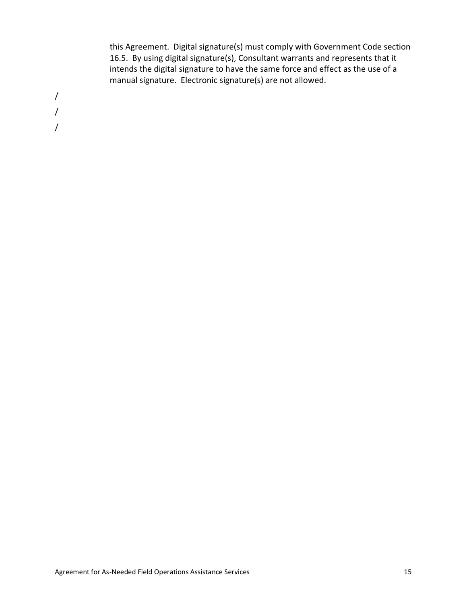this Agreement. Digital signature(s) must comply with Government Code section 16.5. By using digital signature(s), Consultant warrants and represents that it intends the digital signature to have the same force and effect as the use of a manual signature. Electronic signature(s) are not allowed.

/ / /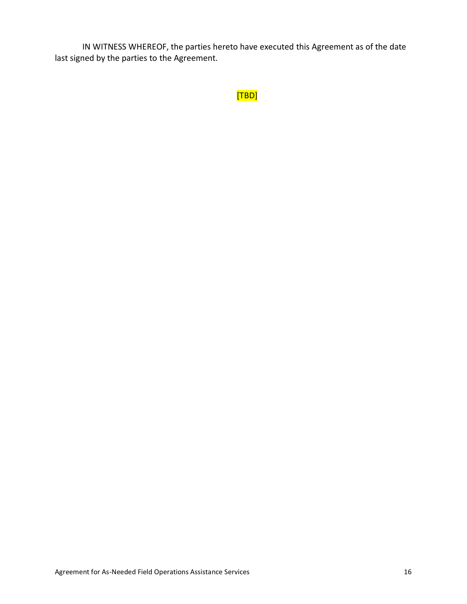IN WITNESS WHEREOF, the parties hereto have executed this Agreement as of the date last signed by the parties to the Agreement.

```
[TBD]
```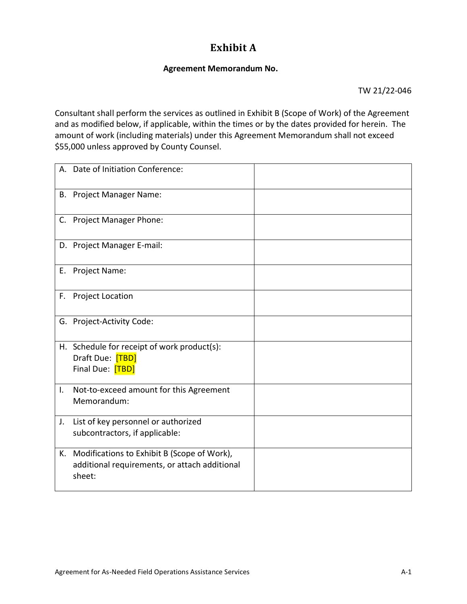# **Exhibit A**

### **Agreement Memorandum No.**

TW 21/22-046

Consultant shall perform the services as outlined in Exhibit B (Scope of Work) of the Agreement and as modified below, if applicable, within the times or by the dates provided for herein. The amount of work (including materials) under this Agreement Memorandum shall not exceed \$55,000 unless approved by County Counsel.

|    | A. Date of Initiation Conference:                                                                      |  |
|----|--------------------------------------------------------------------------------------------------------|--|
|    | B. Project Manager Name:                                                                               |  |
|    | C. Project Manager Phone:                                                                              |  |
|    | D. Project Manager E-mail:                                                                             |  |
|    | E. Project Name:                                                                                       |  |
|    | F. Project Location                                                                                    |  |
|    | G. Project-Activity Code:                                                                              |  |
|    | H. Schedule for receipt of work product(s):<br>Draft Due: [TBD]<br>Final Due: [TBD]                    |  |
| I. | Not-to-exceed amount for this Agreement<br>Memorandum:                                                 |  |
| J. | List of key personnel or authorized<br>subcontractors, if applicable:                                  |  |
| К. | Modifications to Exhibit B (Scope of Work),<br>additional requirements, or attach additional<br>sheet: |  |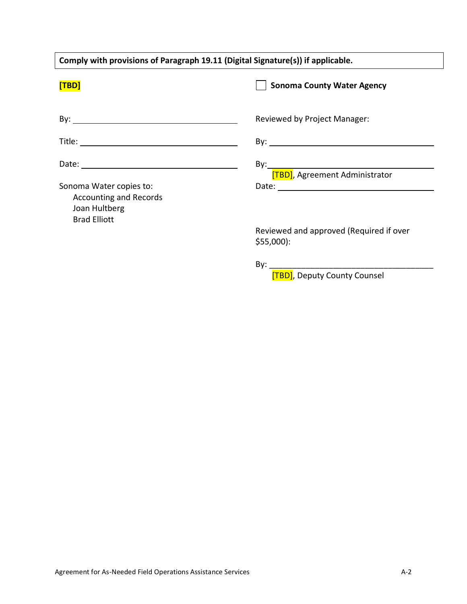| Comply with provisions of Paragraph 19.11 (Digital Signature(s)) if applicable.                  |                                                                                                                                                                                                                                     |  |
|--------------------------------------------------------------------------------------------------|-------------------------------------------------------------------------------------------------------------------------------------------------------------------------------------------------------------------------------------|--|
| [TBD]                                                                                            | <b>Sonoma County Water Agency</b>                                                                                                                                                                                                   |  |
|                                                                                                  | Reviewed by Project Manager:                                                                                                                                                                                                        |  |
|                                                                                                  |                                                                                                                                                                                                                                     |  |
|                                                                                                  | [TBD], Agreement Administrator                                                                                                                                                                                                      |  |
| Sonoma Water copies to:<br><b>Accounting and Records</b><br>Joan Hultberg<br><b>Brad Elliott</b> | Date: <u>Date: Explorer</u> Partnership and the second partnership and the second partnership and the second partnership and the second partnership and the second partnership and the second partnership and the second partnershi |  |
|                                                                                                  | Reviewed and approved (Required if over<br>$$55,000$ :                                                                                                                                                                              |  |
|                                                                                                  |                                                                                                                                                                                                                                     |  |

[TBD], Deputy County Counsel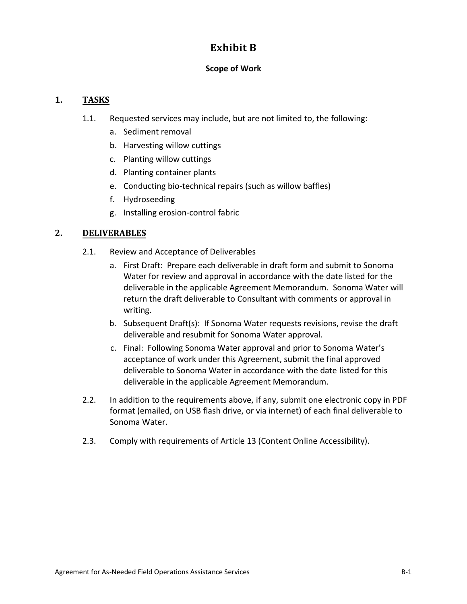# **Exhibit B**

# **Scope of Work**

# **1. TASKS**

- 1.1. Requested services may include, but are not limited to, the following:
	- a. Sediment removal
	- b. Harvesting willow cuttings
	- c. Planting willow cuttings
	- d. Planting container plants
	- e. Conducting bio-technical repairs (such as willow baffles)
	- f. Hydroseeding
	- g. Installing erosion-control fabric

# **2. DELIVERABLES**

- 2.1. Review and Acceptance of Deliverables
	- a. First Draft: Prepare each deliverable in draft form and submit to Sonoma Water for review and approval in accordance with the date listed for the deliverable in the applicable Agreement Memorandum. Sonoma Water will return the draft deliverable to Consultant with comments or approval in writing.
	- b. Subsequent Draft(s): If Sonoma Water requests revisions, revise the draft deliverable and resubmit for Sonoma Water approval.
	- c. Final: Following Sonoma Water approval and prior to Sonoma Water's acceptance of work under this Agreement, submit the final approved deliverable to Sonoma Water in accordance with the date listed for this deliverable in the applicable Agreement Memorandum.
- 2.2. In addition to the requirements above, if any, submit one electronic copy in PDF format (emailed, on USB flash drive, or via internet) of each final deliverable to Sonoma Water.
- 2.3. Comply with requirements of Article [13 \(Content Online Accessibility\)](#page-16-1).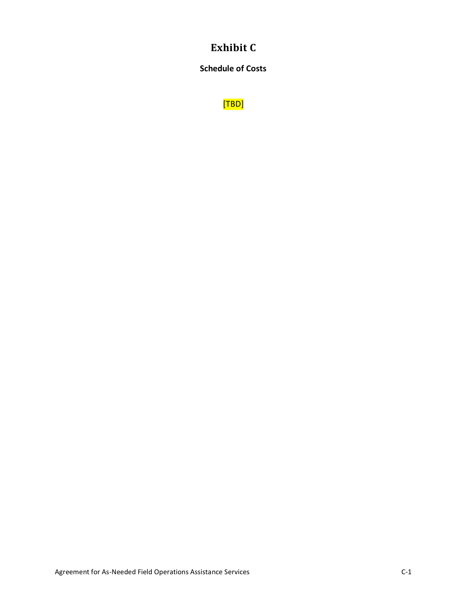# **Exhibit C**

**Schedule of Costs**

[TBD]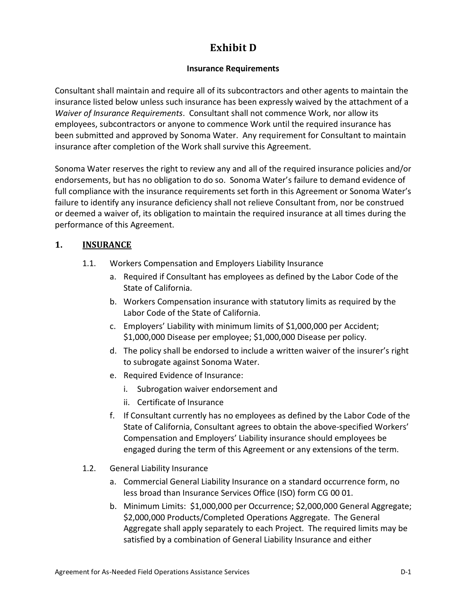# **Exhibit D**

# **Insurance Requirements**

Consultant shall maintain and require all of its subcontractors and other agents to maintain the insurance listed below unless such insurance has been expressly waived by the attachment of a *Waiver of Insurance Requirements*. Consultant shall not commence Work, nor allow its employees, subcontractors or anyone to commence Work until the required insurance has been submitted and approved by Sonoma Water. Any requirement for Consultant to maintain insurance after completion of the Work shall survive this Agreement.

Sonoma Water reserves the right to review any and all of the required insurance policies and/or endorsements, but has no obligation to do so. Sonoma Water's failure to demand evidence of full compliance with the insurance requirements set forth in this Agreement or Sonoma Water's failure to identify any insurance deficiency shall not relieve Consultant from, nor be construed or deemed a waiver of, its obligation to maintain the required insurance at all times during the performance of this Agreement.

# <span id="page-30-0"></span>**1. INSURANCE**

- 1.1. Workers Compensation and Employers Liability Insurance
	- a. Required if Consultant has employees as defined by the Labor Code of the State of California.
	- b. Workers Compensation insurance with statutory limits as required by the Labor Code of the State of California.
	- c. Employers' Liability with minimum limits of \$1,000,000 per Accident; \$1,000,000 Disease per employee; \$1,000,000 Disease per policy.
	- d. The policy shall be endorsed to include a written waiver of the insurer's right to subrogate against Sonoma Water.
	- e. Required Evidence of Insurance:
		- i. Subrogation waiver endorsement and
		- ii. Certificate of Insurance
	- f. If Consultant currently has no employees as defined by the Labor Code of the State of California, Consultant agrees to obtain the above-specified Workers' Compensation and Employers' Liability insurance should employees be engaged during the term of this Agreement or any extensions of the term.
- <span id="page-30-1"></span>1.2. General Liability Insurance
	- a. Commercial General Liability Insurance on a standard occurrence form, no less broad than Insurance Services Office (ISO) form CG 00 01.
	- b. Minimum Limits: \$1,000,000 per Occurrence; \$2,000,000 General Aggregate; \$2,000,000 Products/Completed Operations Aggregate. The General Aggregate shall apply separately to each Project. The required limits may be satisfied by a combination of General Liability Insurance and either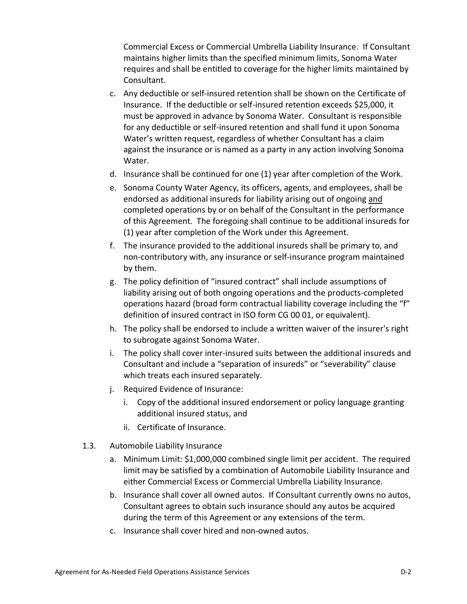Commercial Excess or Commercial Umbrella Liability Insurance. If Consultant maintains higher limits than the specified minimum limits, Sonoma Water requires and shall be entitled to coverage for the higher limits maintained by Consultant.

- c. Any deductible or self-insured retention shall be shown on the Certificate of Insurance. If the deductible or self-insured retention exceeds \$25,000, it must be approved in advance by Sonoma Water. Consultant is responsible for any deductible or self-insured retention and shall fund it upon Sonoma Water's written request, regardless of whether Consultant has a claim against the insurance or is named as a party in any action involving Sonoma Water.
- d. Insurance shall be continued for one (1) year after completion of the Work.
- e. Sonoma County Water Agency, its officers, agents, and employees, shall be endorsed as additional insureds for liability arising out of ongoing and completed operations by or on behalf of the Consultant in the performance of this Agreement. The foregoing shall continue to be additional insureds for (1) year after completion of the Work under this Agreement.
- f. The insurance provided to the additional insureds shall be primary to, and non-contributory with, any insurance or self-insurance program maintained by them.
- g. The policy definition of "insured contract" shall include assumptions of liability arising out of both ongoing operations and the products-completed operations hazard (broad form contractual liability coverage including the "f" definition of insured contract in ISO form CG 00 01, or equivalent).
- h. The policy shall be endorsed to include a written waiver of the insurer's right to subrogate against Sonoma Water.
- i. The policy shall cover inter-insured suits between the additional insureds and Consultant and include a "separation of insureds" or "severability" clause which treats each insured separately.
- j. Required Evidence of Insurance:
	- i. Copy of the additional insured endorsement or policy language granting additional insured status, and
	- ii. Certificate of Insurance.
- <span id="page-31-0"></span>1.3. Automobile Liability Insurance
	- a. Minimum Limit: \$1,000,000 combined single limit per accident. The required limit may be satisfied by a combination of Automobile Liability Insurance and either Commercial Excess or Commercial Umbrella Liability Insurance.
	- b. Insurance shall cover all owned autos. If Consultant currently owns no autos, Consultant agrees to obtain such insurance should any autos be acquired during the term of this Agreement or any extensions of the term.
	- c. Insurance shall cover hired and non-owned autos.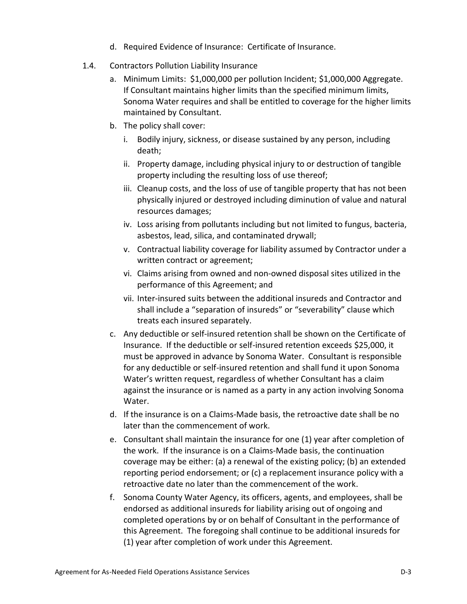- d. Required Evidence of Insurance: Certificate of Insurance.
- <span id="page-32-0"></span>1.4. Contractors Pollution Liability Insurance
	- a. Minimum Limits: \$1,000,000 per pollution Incident; \$1,000,000 Aggregate. If Consultant maintains higher limits than the specified minimum limits, Sonoma Water requires and shall be entitled to coverage for the higher limits maintained by Consultant.
	- b. The policy shall cover:
		- i. Bodily injury, sickness, or disease sustained by any person, including death;
		- ii. Property damage, including physical injury to or destruction of tangible property including the resulting loss of use thereof;
		- iii. Cleanup costs, and the loss of use of tangible property that has not been physically injured or destroyed including diminution of value and natural resources damages;
		- iv. Loss arising from pollutants including but not limited to fungus, bacteria, asbestos, lead, silica, and contaminated drywall;
		- v. Contractual liability coverage for liability assumed by Contractor under a written contract or agreement;
		- vi. Claims arising from owned and non-owned disposal sites utilized in the performance of this Agreement; and
		- vii. Inter-insured suits between the additional insureds and Contractor and shall include a "separation of insureds" or "severability" clause which treats each insured separately.
	- c. Any deductible or self-insured retention shall be shown on the Certificate of Insurance. If the deductible or self-insured retention exceeds \$25,000, it must be approved in advance by Sonoma Water. Consultant is responsible for any deductible or self-insured retention and shall fund it upon Sonoma Water's written request, regardless of whether Consultant has a claim against the insurance or is named as a party in any action involving Sonoma Water.
	- d. If the insurance is on a Claims-Made basis, the retroactive date shall be no later than the commencement of work.
	- e. Consultant shall maintain the insurance for one (1) year after completion of the work. If the insurance is on a Claims-Made basis, the continuation coverage may be either: (a) a renewal of the existing policy; (b) an extended reporting period endorsement; or (c) a replacement insurance policy with a retroactive date no later than the commencement of the work.
	- f. Sonoma County Water Agency, its officers, agents, and employees, shall be endorsed as additional insureds for liability arising out of ongoing and completed operations by or on behalf of Consultant in the performance of this Agreement. The foregoing shall continue to be additional insureds for (1) year after completion of work under this Agreement.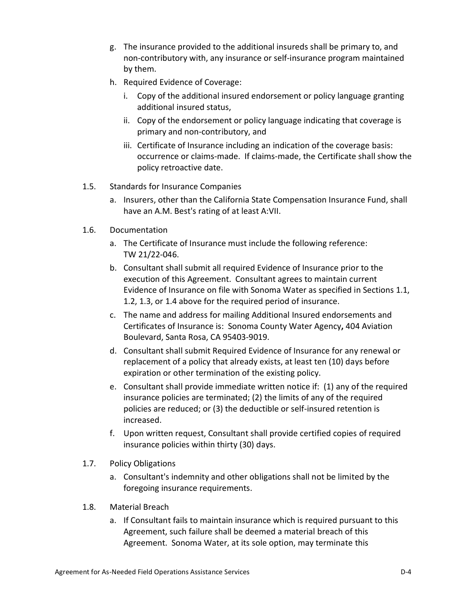- g. The insurance provided to the additional insureds shall be primary to, and non-contributory with, any insurance or self-insurance program maintained by them.
- h. Required Evidence of Coverage:
	- i. Copy of the additional insured endorsement or policy language granting additional insured status,
	- ii. Copy of the endorsement or policy language indicating that coverage is primary and non-contributory, and
	- iii. Certificate of Insurance including an indication of the coverage basis: occurrence or claims-made. If claims-made, the Certificate shall show the policy retroactive date.
- 1.5. Standards for Insurance Companies
	- a. Insurers, other than the California State Compensation Insurance Fund, shall have an A.M. Best's rating of at least A:VII.
- 1.6. Documentation
	- a. The Certificate of Insurance must include the following reference: TW 21/22-046.
	- b. Consultant shall submit all required Evidence of Insurance prior to the execution of this Agreement. Consultant agrees to maintain current Evidence of Insurance on file with Sonoma Water as specified in Sections [1.1,](#page-30-0) [1.2,](#page-30-1) [1.3,](#page-31-0) or [1.4](#page-32-0) above for the required period of insurance.
	- c. The name and address for mailing Additional Insured endorsements and Certificates of Insurance is: Sonoma County Water Agency**,** 404 Aviation Boulevard, Santa Rosa, CA 95403-9019.
	- d. Consultant shall submit Required Evidence of Insurance for any renewal or replacement of a policy that already exists, at least ten (10) days before expiration or other termination of the existing policy.
	- e. Consultant shall provide immediate written notice if: (1) any of the required insurance policies are terminated; (2) the limits of any of the required policies are reduced; or (3) the deductible or self-insured retention is increased.
	- f. Upon written request, Consultant shall provide certified copies of required insurance policies within thirty (30) days.
- 1.7. Policy Obligations
	- a. Consultant's indemnity and other obligations shall not be limited by the foregoing insurance requirements.
- 1.8. Material Breach
	- a. If Consultant fails to maintain insurance which is required pursuant to this Agreement, such failure shall be deemed a material breach of this Agreement. Sonoma Water, at its sole option, may terminate this